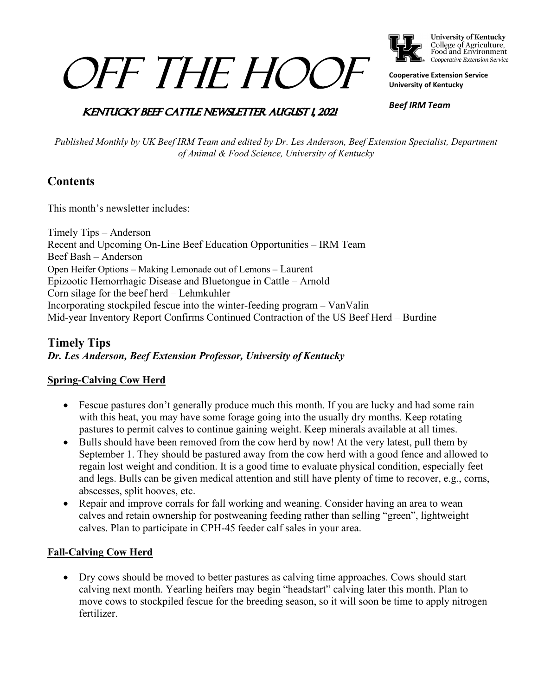# OFF THE HOOF



College of Agriculture,<br>Food and Environment Cooperative Extension Service

**Cooperative Extension Service University of Kentucky**

## **KENTUCKY BEEF CATTLE NEWSLETTER AUGUST 1, 2021**

*Beef IRM Team*

*Published Monthly by UK Beef IRM Team and edited by Dr. Les Anderson, Beef Extension Specialist, Department of Animal & Food Science, University of Kentucky*

# **Contents**

This month's newsletter includes:

Timely Tips – Anderson Recent and Upcoming On-Line Beef Education Opportunities – IRM Team Beef Bash – Anderson Open Heifer Options – Making Lemonade out of Lemons – Laurent Epizootic Hemorrhagic Disease and Bluetongue in Cattle – Arnold Corn silage for the beef herd – Lehmkuhler Incorporating stockpiled fescue into the winter-feeding program – VanValin Mid-year Inventory Report Confirms Continued Contraction of the US Beef Herd – Burdine

# **Timely Tips** *Dr. Les Anderson, Beef Extension Professor, University of Kentucky*

### **Spring-Calving Cow Herd**

- Fescue pastures don't generally produce much this month. If you are lucky and had some rain with this heat, you may have some forage going into the usually dry months. Keep rotating pastures to permit calves to continue gaining weight. Keep minerals available at all times.
- Bulls should have been removed from the cow herd by now! At the very latest, pull them by September 1. They should be pastured away from the cow herd with a good fence and allowed to regain lost weight and condition. It is a good time to evaluate physical condition, especially feet and legs. Bulls can be given medical attention and still have plenty of time to recover, e.g., corns, abscesses, split hooves, etc.
- Repair and improve corrals for fall working and weaning. Consider having an area to wean calves and retain ownership for postweaning feeding rather than selling "green", lightweight calves. Plan to participate in CPH-45 feeder calf sales in your area.

#### **Fall-Calving Cow Herd**

• Dry cows should be moved to better pastures as calving time approaches. Cows should start calving next month. Yearling heifers may begin "headstart" calving later this month. Plan to move cows to stockpiled fescue for the breeding season, so it will soon be time to apply nitrogen fertilizer.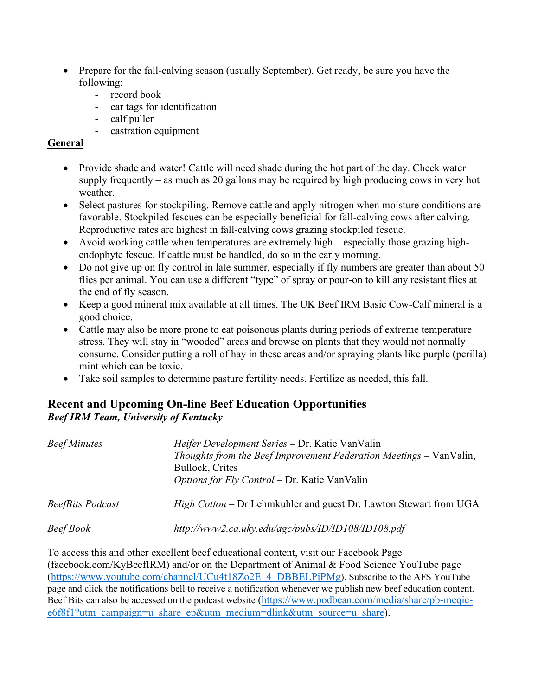- Prepare for the fall-calving season (usually September). Get ready, be sure you have the following:
	- record book
	- ear tags for identification
	- calf puller
	- castration equipment

### **General**

- Provide shade and water! Cattle will need shade during the hot part of the day. Check water supply frequently – as much as 20 gallons may be required by high producing cows in very hot weather.
- Select pastures for stockpiling. Remove cattle and apply nitrogen when moisture conditions are favorable. Stockpiled fescues can be especially beneficial for fall-calving cows after calving. Reproductive rates are highest in fall-calving cows grazing stockpiled fescue.
- Avoid working cattle when temperatures are extremely high especially those grazing highendophyte fescue. If cattle must be handled, do so in the early morning.
- Do not give up on fly control in late summer, especially if fly numbers are greater than about 50 flies per animal. You can use a different "type" of spray or pour-on to kill any resistant flies at the end of fly season.
- Keep a good mineral mix available at all times. The UK Beef IRM Basic Cow-Calf mineral is a good choice.
- Cattle may also be more prone to eat poisonous plants during periods of extreme temperature stress. They will stay in "wooded" areas and browse on plants that they would not normally consume. Consider putting a roll of hay in these areas and/or spraying plants like purple (perilla) mint which can be toxic.
- Take soil samples to determine pasture fertility needs. Fertilize as needed, this fall.

## **Recent and Upcoming On-line Beef Education Opportunities** *Beef IRM Team, University of Kentucky*

| <i>Beef Minutes</i>     | Heifer Development Series – Dr. Katie VanValin<br>Thoughts from the Beef Improvement Federation Meetings - VanValin,<br>Bullock, Crites<br><i>Options for Fly Control – Dr. Katie VanValin</i> |
|-------------------------|------------------------------------------------------------------------------------------------------------------------------------------------------------------------------------------------|
| <b>BeefBits Podcast</b> | <i>High Cotton</i> – Dr Lehmkuhler and guest Dr. Lawton Stewart from UGA                                                                                                                       |
| Beef Book               | http://www2.ca.uky.edu/agc/pubs/ID/ID108/ID108.pdf                                                                                                                                             |

To access this and other excellent beef educational content, visit our Facebook Page (facebook.com/KyBeefIRM) and/or on the Department of Animal & Food Science YouTube page [\(https://www.youtube.com/channel/UCu4t18Zo2E\\_4\\_DBBELPjPMg\)](https://www.youtube.com/channel/UCu4t18Zo2E_4_DBBELPjPMg). Subscribe to the AFS YouTube page and click the notifications bell to receive a notification whenever we publish new beef education content. Beef Bits can also be accessed on the podcast website [\(https://www.podbean.com/media/share/pb-meqic](https://www.podbean.com/media/share/pb-meqic-e6f8f1?utm_campaign=u_share_ep&utm_medium=dlink&utm_source=u_share)[e6f8f1?utm\\_campaign=u\\_share\\_ep&utm\\_medium=dlink&utm\\_source=u\\_share\)](https://www.podbean.com/media/share/pb-meqic-e6f8f1?utm_campaign=u_share_ep&utm_medium=dlink&utm_source=u_share).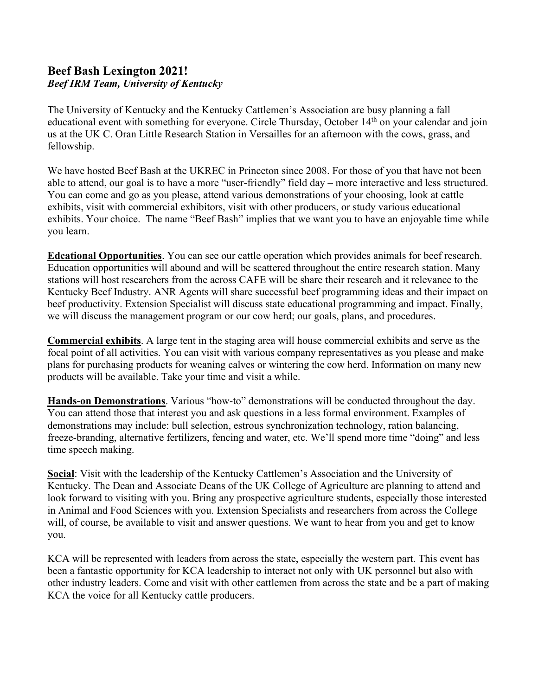## **Beef Bash Lexington 2021!** *Beef IRM Team, University of Kentucky*

The University of Kentucky and the Kentucky Cattlemen's Association are busy planning a fall educational event with something for everyone. Circle Thursday, October 14<sup>th</sup> on your calendar and join us at the UK C. Oran Little Research Station in Versailles for an afternoon with the cows, grass, and fellowship.

We have hosted Beef Bash at the UKREC in Princeton since 2008. For those of you that have not been able to attend, our goal is to have a more "user-friendly" field day – more interactive and less structured. You can come and go as you please, attend various demonstrations of your choosing, look at cattle exhibits, visit with commercial exhibitors, visit with other producers, or study various educational exhibits. Your choice. The name "Beef Bash" implies that we want you to have an enjoyable time while you learn.

**Edcational Opportunities**. You can see our cattle operation which provides animals for beef research. Education opportunities will abound and will be scattered throughout the entire research station. Many stations will host researchers from the across CAFE will be share their research and it relevance to the Kentucky Beef Industry. ANR Agents will share successful beef programming ideas and their impact on beef productivity. Extension Specialist will discuss state educational programming and impact. Finally, we will discuss the management program or our cow herd; our goals, plans, and procedures.

**Commercial exhibits**. A large tent in the staging area will house commercial exhibits and serve as the focal point of all activities. You can visit with various company representatives as you please and make plans for purchasing products for weaning calves or wintering the cow herd. Information on many new products will be available. Take your time and visit a while.

**Hands-on Demonstrations**. Various "how-to" demonstrations will be conducted throughout the day. You can attend those that interest you and ask questions in a less formal environment. Examples of demonstrations may include: bull selection, estrous synchronization technology, ration balancing, freeze-branding, alternative fertilizers, fencing and water, etc. We'll spend more time "doing" and less time speech making.

**Social**: Visit with the leadership of the Kentucky Cattlemen's Association and the University of Kentucky. The Dean and Associate Deans of the UK College of Agriculture are planning to attend and look forward to visiting with you. Bring any prospective agriculture students, especially those interested in Animal and Food Sciences with you. Extension Specialists and researchers from across the College will, of course, be available to visit and answer questions. We want to hear from you and get to know you.

KCA will be represented with leaders from across the state, especially the western part. This event has been a fantastic opportunity for KCA leadership to interact not only with UK personnel but also with other industry leaders. Come and visit with other cattlemen from across the state and be a part of making KCA the voice for all Kentucky cattle producers.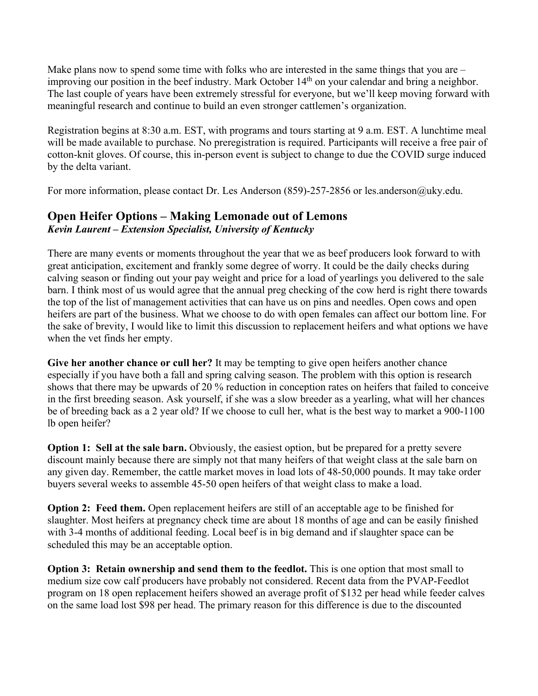Make plans now to spend some time with folks who are interested in the same things that you are – improving our position in the beef industry. Mark October 14<sup>th</sup> on your calendar and bring a neighbor. The last couple of years have been extremely stressful for everyone, but we'll keep moving forward with meaningful research and continue to build an even stronger cattlemen's organization.

Registration begins at 8:30 a.m. EST, with programs and tours starting at 9 a.m. EST. A lunchtime meal will be made available to purchase. No preregistration is required. Participants will receive a free pair of cotton-knit gloves. Of course, this in-person event is subject to change to due the COVID surge induced by the delta variant.

For more information, please contact Dr. Les Anderson (859)-257-2856 or les.anderson@uky.edu.

# **Open Heifer Options – Making Lemonade out of Lemons** *Kevin Laurent – Extension Specialist, University of Kentucky*

There are many events or moments throughout the year that we as beef producers look forward to with great anticipation, excitement and frankly some degree of worry. It could be the daily checks during calving season or finding out your pay weight and price for a load of yearlings you delivered to the sale barn. I think most of us would agree that the annual preg checking of the cow herd is right there towards the top of the list of management activities that can have us on pins and needles. Open cows and open heifers are part of the business. What we choose to do with open females can affect our bottom line. For the sake of brevity, I would like to limit this discussion to replacement heifers and what options we have when the vet finds her empty.

**Give her another chance or cull her?** It may be tempting to give open heifers another chance especially if you have both a fall and spring calving season. The problem with this option is research shows that there may be upwards of 20 % reduction in conception rates on heifers that failed to conceive in the first breeding season. Ask yourself, if she was a slow breeder as a yearling, what will her chances be of breeding back as a 2 year old? If we choose to cull her, what is the best way to market a 900-1100 lb open heifer?

**Option 1: Sell at the sale barn.** Obviously, the easiest option, but be prepared for a pretty severe discount mainly because there are simply not that many heifers of that weight class at the sale barn on any given day. Remember, the cattle market moves in load lots of 48-50,000 pounds. It may take order buyers several weeks to assemble 45-50 open heifers of that weight class to make a load.

**Option 2: Feed them.** Open replacement heifers are still of an acceptable age to be finished for slaughter. Most heifers at pregnancy check time are about 18 months of age and can be easily finished with 3-4 months of additional feeding. Local beef is in big demand and if slaughter space can be scheduled this may be an acceptable option.

**Option 3: Retain ownership and send them to the feedlot.** This is one option that most small to medium size cow calf producers have probably not considered. Recent data from the PVAP-Feedlot program on 18 open replacement heifers showed an average profit of \$132 per head while feeder calves on the same load lost \$98 per head. The primary reason for this difference is due to the discounted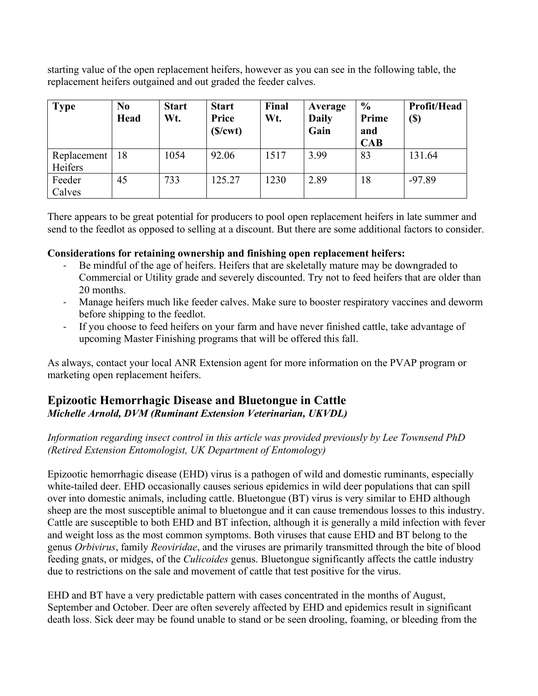starting value of the open replacement heifers, however as you can see in the following table, the replacement heifers outgained and out graded the feeder calves.

| <b>Type</b>            | N <sub>0</sub><br><b>Head</b> | <b>Start</b><br>Wt. | <b>Start</b><br>Price<br>(S/cwt) | Final<br>Wt. | Average<br><b>Daily</b><br>Gain | $\frac{0}{0}$<br>Prime<br>and<br>CAB | Profit/Head<br>(\$) |
|------------------------|-------------------------------|---------------------|----------------------------------|--------------|---------------------------------|--------------------------------------|---------------------|
| Replacement<br>Heifers | 18                            | 1054                | 92.06                            | 1517         | 3.99                            | 83                                   | 131.64              |
| Feeder<br>Calves       | 45                            | 733                 | 125.27                           | 1230         | 2.89                            | 18                                   | $-97.89$            |

There appears to be great potential for producers to pool open replacement heifers in late summer and send to the feedlot as opposed to selling at a discount. But there are some additional factors to consider.

#### **Considerations for retaining ownership and finishing open replacement heifers:**

- Be mindful of the age of heifers. Heifers that are skeletally mature may be downgraded to Commercial or Utility grade and severely discounted. Try not to feed heifers that are older than 20 months.
- Manage heifers much like feeder calves. Make sure to booster respiratory vaccines and deworm before shipping to the feedlot.
- If you choose to feed heifers on your farm and have never finished cattle, take advantage of upcoming Master Finishing programs that will be offered this fall.

As always, contact your local ANR Extension agent for more information on the PVAP program or marketing open replacement heifers.

## **Epizootic Hemorrhagic Disease and Bluetongue in Cattle** *Michelle Arnold, DVM (Ruminant Extension Veterinarian, UKVDL)*

#### *Information regarding insect control in this article was provided previously by Lee Townsend PhD (Retired Extension Entomologist, UK Department of Entomology)*

Epizootic hemorrhagic disease (EHD) virus is a pathogen of wild and domestic ruminants, especially white-tailed deer. EHD occasionally causes serious epidemics in wild deer populations that can spill over into domestic animals, including cattle. Bluetongue (BT) virus is very similar to EHD although sheep are the most susceptible animal to bluetongue and it can cause tremendous losses to this industry. Cattle are susceptible to both EHD and BT infection, although it is generally a mild infection with fever and weight loss as the most common symptoms. Both viruses that cause EHD and BT belong to the genus *Orbivirus*, family *Reoviridae*, and the viruses are primarily transmitted through the bite of blood feeding gnats, or midges, of the *Culicoides* genus. Bluetongue significantly affects the cattle industry due to restrictions on the sale and movement of cattle that test positive for the virus.

EHD and BT have a very predictable pattern with cases concentrated in the months of August, September and October. Deer are often severely affected by EHD and epidemics result in significant death loss. Sick deer may be found unable to stand or be seen drooling, foaming, or bleeding from the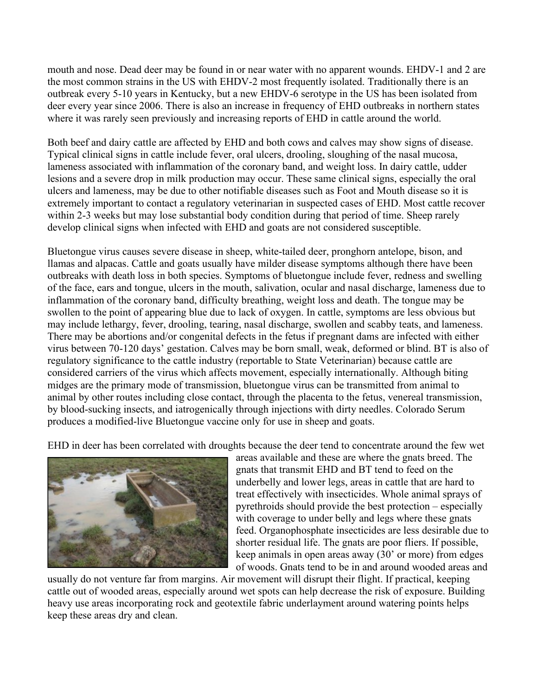mouth and nose. Dead deer may be found in or near water with no apparent wounds. EHDV-1 and 2 are the most common strains in the US with EHDV-2 most frequently isolated. Traditionally there is an outbreak every 5-10 years in Kentucky, but a new EHDV-6 serotype in the US has been isolated from deer every year since 2006. There is also an increase in frequency of EHD outbreaks in northern states where it was rarely seen previously and increasing reports of EHD in cattle around the world.

Both beef and dairy cattle are affected by EHD and both cows and calves may show signs of disease. Typical clinical signs in cattle include fever, oral ulcers, drooling, sloughing of the nasal mucosa, lameness associated with inflammation of the coronary band, and weight loss. In dairy cattle, udder lesions and a severe drop in milk production may occur. These same clinical signs, especially the oral ulcers and lameness, may be due to other notifiable diseases such as Foot and Mouth disease so it is extremely important to contact a regulatory veterinarian in suspected cases of EHD. Most cattle recover within 2-3 weeks but may lose substantial body condition during that period of time. Sheep rarely develop clinical signs when infected with EHD and goats are not considered susceptible.

Bluetongue virus causes severe disease in sheep, white-tailed deer, pronghorn antelope, bison, and llamas and alpacas. Cattle and goats usually have milder disease symptoms although there have been outbreaks with death loss in both species. Symptoms of bluetongue include fever, redness and swelling of the face, ears and tongue, ulcers in the mouth, salivation, ocular and nasal discharge, lameness due to inflammation of the coronary band, difficulty breathing, weight loss and death. The tongue may be swollen to the point of appearing blue due to lack of oxygen. In cattle, symptoms are less obvious but may include lethargy, fever, drooling, tearing, nasal discharge, swollen and scabby teats, and lameness. There may be abortions and/or congenital defects in the fetus if pregnant dams are infected with either virus between 70-120 days' gestation. Calves may be born small, weak, deformed or blind. BT is also of regulatory significance to the cattle industry (reportable to State Veterinarian) because cattle are considered carriers of the virus which affects movement, especially internationally. Although biting midges are the primary mode of transmission, bluetongue virus can be transmitted from animal to animal by other routes including close contact, through the placenta to the fetus, venereal transmission, by blood-sucking insects, and iatrogenically through injections with dirty needles. Colorado Serum produces a modified-live Bluetongue vaccine only for use in sheep and goats.

EHD in deer has been correlated with droughts because the deer tend to concentrate around the few wet



areas available and these are where the gnats breed. The gnats that transmit EHD and BT tend to feed on the underbelly and lower legs, areas in cattle that are hard to treat effectively with insecticides. Whole animal sprays of pyrethroids should provide the best protection – especially with coverage to under belly and legs where these gnats feed. Organophosphate insecticides are less desirable due to shorter residual life. The gnats are poor fliers. If possible, keep animals in open areas away (30' or more) from edges of woods. Gnats tend to be in and around wooded areas and

usually do not venture far from margins. Air movement will disrupt their flight. If practical, keeping cattle out of wooded areas, especially around wet spots can help decrease the risk of exposure. Building heavy use areas incorporating rock and geotextile fabric underlayment around watering points helps keep these areas dry and clean.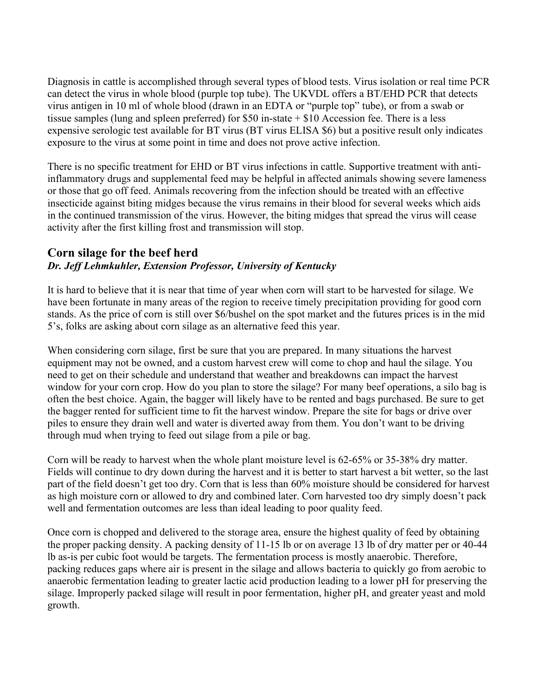Diagnosis in cattle is accomplished through several types of blood tests. Virus isolation or real time PCR can detect the virus in whole blood (purple top tube). The UKVDL offers a BT/EHD PCR that detects virus antigen in 10 ml of whole blood (drawn in an EDTA or "purple top" tube), or from a swab or tissue samples (lung and spleen preferred) for \$50 in-state + \$10 Accession fee. There is a less expensive serologic test available for BT virus (BT virus ELISA \$6) but a positive result only indicates exposure to the virus at some point in time and does not prove active infection.

There is no specific treatment for EHD or BT virus infections in cattle. Supportive treatment with antiinflammatory drugs and supplemental feed may be helpful in affected animals showing severe lameness or those that go off feed. Animals recovering from the infection should be treated with an effective insecticide against biting midges because the virus remains in their blood for several weeks which aids in the continued transmission of the virus. However, the biting midges that spread the virus will cease activity after the first killing frost and transmission will stop.

## **Corn silage for the beef herd** *Dr. Jeff Lehmkuhler, Extension Professor, University of Kentucky*

It is hard to believe that it is near that time of year when corn will start to be harvested for silage. We have been fortunate in many areas of the region to receive timely precipitation providing for good corn stands. As the price of corn is still over \$6/bushel on the spot market and the futures prices is in the mid 5's, folks are asking about corn silage as an alternative feed this year.

When considering corn silage, first be sure that you are prepared. In many situations the harvest equipment may not be owned, and a custom harvest crew will come to chop and haul the silage. You need to get on their schedule and understand that weather and breakdowns can impact the harvest window for your corn crop. How do you plan to store the silage? For many beef operations, a silo bag is often the best choice. Again, the bagger will likely have to be rented and bags purchased. Be sure to get the bagger rented for sufficient time to fit the harvest window. Prepare the site for bags or drive over piles to ensure they drain well and water is diverted away from them. You don't want to be driving through mud when trying to feed out silage from a pile or bag.

Corn will be ready to harvest when the whole plant moisture level is 62-65% or 35-38% dry matter. Fields will continue to dry down during the harvest and it is better to start harvest a bit wetter, so the last part of the field doesn't get too dry. Corn that is less than 60% moisture should be considered for harvest as high moisture corn or allowed to dry and combined later. Corn harvested too dry simply doesn't pack well and fermentation outcomes are less than ideal leading to poor quality feed.

Once corn is chopped and delivered to the storage area, ensure the highest quality of feed by obtaining the proper packing density. A packing density of 11-15 lb or on average 13 lb of dry matter per or 40-44 lb as-is per cubic foot would be targets. The fermentation process is mostly anaerobic. Therefore, packing reduces gaps where air is present in the silage and allows bacteria to quickly go from aerobic to anaerobic fermentation leading to greater lactic acid production leading to a lower pH for preserving the silage. Improperly packed silage will result in poor fermentation, higher pH, and greater yeast and mold growth.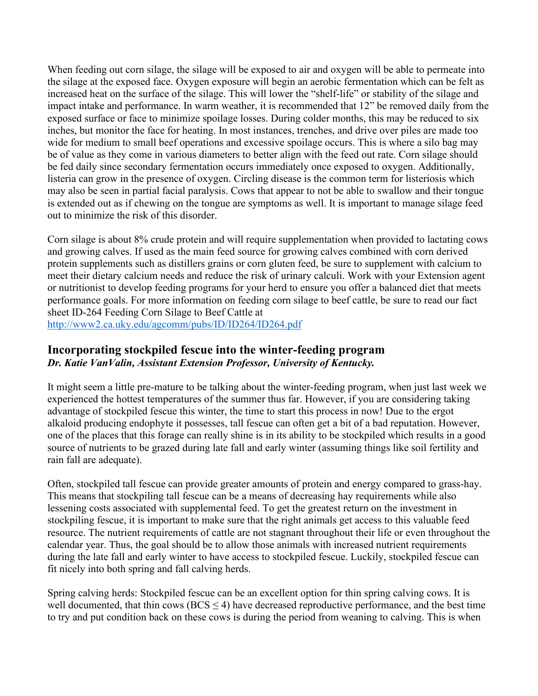When feeding out corn silage, the silage will be exposed to air and oxygen will be able to permeate into the silage at the exposed face. Oxygen exposure will begin an aerobic fermentation which can be felt as increased heat on the surface of the silage. This will lower the "shelf-life" or stability of the silage and impact intake and performance. In warm weather, it is recommended that 12" be removed daily from the exposed surface or face to minimize spoilage losses. During colder months, this may be reduced to six inches, but monitor the face for heating. In most instances, trenches, and drive over piles are made too wide for medium to small beef operations and excessive spoilage occurs. This is where a silo bag may be of value as they come in various diameters to better align with the feed out rate. Corn silage should be fed daily since secondary fermentation occurs immediately once exposed to oxygen. Additionally, listeria can grow in the presence of oxygen. Circling disease is the common term for listeriosis which may also be seen in partial facial paralysis. Cows that appear to not be able to swallow and their tongue is extended out as if chewing on the tongue are symptoms as well. It is important to manage silage feed out to minimize the risk of this disorder.

Corn silage is about 8% crude protein and will require supplementation when provided to lactating cows and growing calves. If used as the main feed source for growing calves combined with corn derived protein supplements such as distillers grains or corn gluten feed, be sure to supplement with calcium to meet their dietary calcium needs and reduce the risk of urinary calculi. Work with your Extension agent or nutritionist to develop feeding programs for your herd to ensure you offer a balanced diet that meets performance goals. For more information on feeding corn silage to beef cattle, be sure to read our fact sheet ID-264 Feeding Corn Silage to Beef Cattle at <http://www2.ca.uky.edu/agcomm/pubs/ID/ID264/ID264.pdf>

### **Incorporating stockpiled fescue into the winter-feeding program** *Dr. Katie VanValin, Assistant Extension Professor, University of Kentucky.*

It might seem a little pre-mature to be talking about the winter-feeding program, when just last week we experienced the hottest temperatures of the summer thus far. However, if you are considering taking advantage of stockpiled fescue this winter, the time to start this process in now! Due to the ergot alkaloid producing endophyte it possesses, tall fescue can often get a bit of a bad reputation. However, one of the places that this forage can really shine is in its ability to be stockpiled which results in a good source of nutrients to be grazed during late fall and early winter (assuming things like soil fertility and rain fall are adequate).

Often, stockpiled tall fescue can provide greater amounts of protein and energy compared to grass-hay. This means that stockpiling tall fescue can be a means of decreasing hay requirements while also lessening costs associated with supplemental feed. To get the greatest return on the investment in stockpiling fescue, it is important to make sure that the right animals get access to this valuable feed resource. The nutrient requirements of cattle are not stagnant throughout their life or even throughout the calendar year. Thus, the goal should be to allow those animals with increased nutrient requirements during the late fall and early winter to have access to stockpiled fescue. Luckily, stockpiled fescue can fit nicely into both spring and fall calving herds.

Spring calving herds: Stockpiled fescue can be an excellent option for thin spring calving cows. It is well documented, that thin cows ( $BCS \leq 4$ ) have decreased reproductive performance, and the best time to try and put condition back on these cows is during the period from weaning to calving. This is when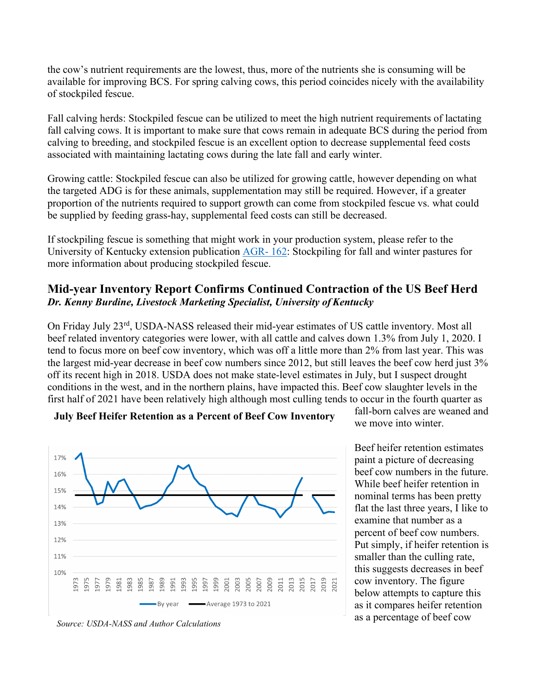the cow's nutrient requirements are the lowest, thus, more of the nutrients she is consuming will be available for improving BCS. For spring calving cows, this period coincides nicely with the availability of stockpiled fescue.

Fall calving herds: Stockpiled fescue can be utilized to meet the high nutrient requirements of lactating fall calving cows. It is important to make sure that cows remain in adequate BCS during the period from calving to breeding, and stockpiled fescue is an excellent option to decrease supplemental feed costs associated with maintaining lactating cows during the late fall and early winter.

Growing cattle: Stockpiled fescue can also be utilized for growing cattle, however depending on what the targeted ADG is for these animals, supplementation may still be required. However, if a greater proportion of the nutrients required to support growth can come from stockpiled fescue vs. what could be supplied by feeding grass-hay, supplemental feed costs can still be decreased.

If stockpiling fescue is something that might work in your production system, please refer to the University of Kentucky extension publication [AGR-](http://www2.ca.uky.edu/agcomm/pubs/agr/agr162/agr162.pdf) 162: Stockpiling for fall and winter pastures for more information about producing stockpiled fescue.

## **Mid-year Inventory Report Confirms Continued Contraction of the US Beef Herd** *Dr. Kenny Burdine, Livestock Marketing Specialist, University of Kentucky*

On Friday July 23rd, USDA-NASS released their mid-year estimates of US cattle inventory. Most all beef related inventory categories were lower, with all cattle and calves down 1.3% from July 1, 2020. I tend to focus more on beef cow inventory, which was off a little more than 2% from last year. This was the largest mid-year decrease in beef cow numbers since 2012, but still leaves the beef cow herd just 3% off its recent high in 2018. USDA does not make state-level estimates in July, but I suspect drought conditions in the west, and in the northern plains, have impacted this. Beef cow slaughter levels in the first half of 2021 have been relatively high although most culling tends to occur in the fourth quarter as



#### **July Beef Heifer Retention as a Percent of Beef Cow Inventory**

fall-born calves are weaned and we move into winter.

Beef heifer retention estimates paint a picture of decreasing beef cow numbers in the future. While beef heifer retention in nominal terms has been pretty flat the last three years, I like to examine that number as a percent of beef cow numbers. Put simply, if heifer retention is smaller than the culling rate, this suggests decreases in beef cow inventory. The figure below attempts to capture this as it compares heifer retention as a percentage of beef cow

*Source: USDA-NASS and Author Calculations*